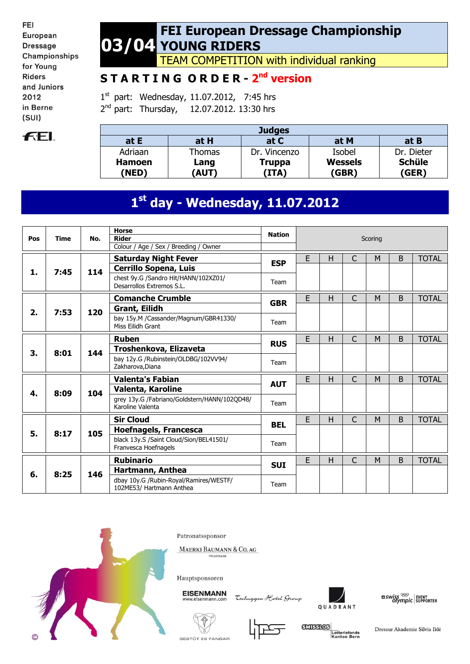FEI European **Dressage** Championships for Young **Riders** and Juniors 2012 in Berne  $(SUI)$ 



#### **03/04 FEI European Dressage Championship YOUNG RIDERS**

TEAM COMPETITION with individual ranking

# **S T A R T I N G O R D E R - 2 nd version**

1<sup>st</sup> part: Wednesday, 11.07.2012, 7:45 hrs 2<sup>nd</sup> part: Thursday, 12.07.2012. 13:30 hrs

| <b>Judges</b>          |              |                        |                         |                        |  |  |  |  |  |
|------------------------|--------------|------------------------|-------------------------|------------------------|--|--|--|--|--|
| at E                   | at H         | at C                   | at M                    | at B                   |  |  |  |  |  |
| Adriaan                | Thomas       | Dr. Vincenzo           | Isobel                  | Dr. Dieter             |  |  |  |  |  |
| <b>Hamoen</b><br>(NED) | Lang<br>(AUT | <b>Truppa</b><br>(ITA) | <b>Wessels</b><br>(GBR) | <b>Schüle</b><br>(GER) |  |  |  |  |  |

# **1 st day - Wednesday, 11.07.2012**

| Pos | <b>Time</b> | No. | <b>Horse</b><br><b>Rider</b><br>Colour / Age / Sex / Breeding / Owner | <b>Nation</b> |   |   |              | Scoring |   |              |
|-----|-------------|-----|-----------------------------------------------------------------------|---------------|---|---|--------------|---------|---|--------------|
|     | 7:45        | 114 | <b>Saturday Night Fever</b><br><b>Cerrillo Sopena, Luis</b>           | <b>ESP</b>    | E | H | $\mathsf{C}$ | M       | B | <b>TOTAL</b> |
| 1.  |             |     | chest 9y.G /Sandro Hit/HANN/102XZ01/<br>Desarrollos Extremos S.L.     | Team          |   |   |              |         |   |              |
|     |             |     | <b>Comanche Crumble</b>                                               | <b>GBR</b>    | E | н | C            | M       | B | <b>TOTAL</b> |
| 2.  | 7:53        | 120 | <b>Grant, Eilidh</b>                                                  |               |   |   |              |         |   |              |
|     |             |     | bay 15y.M /Cassander/Magnum/GBR41330/<br>Miss Eilidh Grant            | Team          |   |   |              |         |   |              |
|     |             |     | <b>Ruben</b>                                                          | <b>RUS</b>    | E | H | $\mathsf{C}$ | M       | B | <b>TOTAL</b> |
| 3.  | 8:01        | 144 | Troshenkova, Elizaveta                                                |               |   |   |              |         |   |              |
|     |             |     | bay 12y.G /Rubinstein/OLDBG/102VV94/<br>Zakharova, Diana              | Team          |   |   |              |         |   |              |
|     |             |     | <b>Valenta's Fabian</b>                                               | <b>AUT</b>    | E | Н | C            | M       | B | <b>TOTAL</b> |
| 4.  | 8:09        | 104 | Valenta, Karoline                                                     |               |   |   |              |         |   |              |
|     |             |     | grey 13y.G /Fabriano/Goldstern/HANN/102QD48/<br>Karoline Valenta      | Team          |   |   |              |         |   |              |
|     |             |     | <b>Sir Cloud</b>                                                      | <b>BEL</b>    | E | Н | C            | M       | B | <b>TOTAL</b> |
| 5.  | 8:17        | 105 | <b>Hoefnagels, Francesca</b>                                          |               |   |   |              |         |   |              |
|     |             |     | black 13y.S /Saint Cloud/Sion/BEL41501/<br>Franvesca Hoefnagels       | Team          |   |   |              |         |   |              |
|     |             |     | <b>Rubinario</b>                                                      | <b>SUI</b>    | E | H | $\mathsf{C}$ | M       | B | <b>TOTAL</b> |
| 6.  | 8:25        | 146 | Hartmann, Anthea                                                      |               |   |   |              |         |   |              |
|     |             |     | dbay 10y.G /Rubin-Royal/Ramires/WESTF/<br>102ME53/ Hartmann Anthea    | Team          |   |   |              |         |   |              |



Patronatssponsor

MAERKI BAUMANN & CO. AG

Hauptsponsoren

**EISENMANN** 

Tschuggen Hotel Group



 $\frac{1}{2}$  swiss  $\frac{1}{2}$  event of supporter







Dressur Akademie Silvia Iklé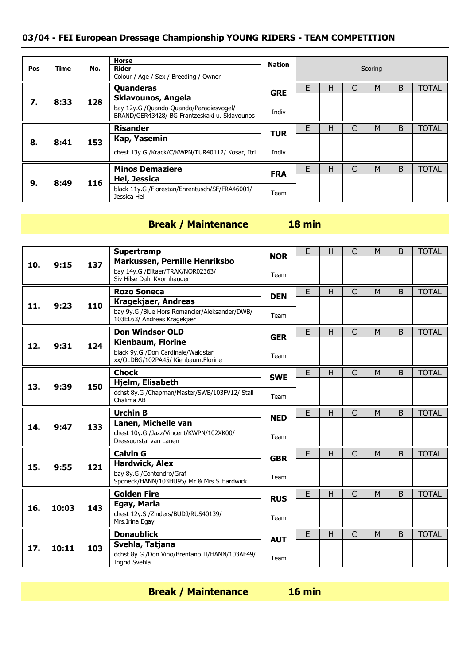| Pos | Time | No. | Horse<br><b>Rider</b><br>Colour / Age / Sex / Breeding / Owner                           | <b>Nation</b> |   |   | Scoring |   |              |
|-----|------|-----|------------------------------------------------------------------------------------------|---------------|---|---|---------|---|--------------|
|     |      |     | Quanderas                                                                                | <b>GRE</b>    | F | н | M       | B | <b>TOTAL</b> |
| 7.  | 8:33 | 128 | Sklavounos, Angela                                                                       |               |   |   |         |   |              |
|     |      |     | bay 12y.G /Quando-Quando/Paradiesvogel/<br>BRAND/GER43428/ BG Frantzeskaki u. Sklavounos | Indiv         |   |   |         |   |              |
|     |      |     | <b>Risander</b>                                                                          | <b>TUR</b>    | F | н | M       | B | <b>TOTAL</b> |
| 8.  | 8:41 | 153 | Kap, Yasemin                                                                             |               |   |   |         |   |              |
|     |      |     | chest 13y.G /Krack/C/KWPN/TUR40112/ Kosar, Itri                                          | Indiv         |   |   |         |   |              |
|     |      |     | <b>Minos Demaziere</b>                                                                   |               | F | н | M       | B | <b>TOTAL</b> |
| 9.  | 8:49 | 116 | Hel, Jessica                                                                             | <b>FRA</b>    |   |   |         |   |              |
|     |      |     | black 11y.G /Florestan/Ehrentusch/SF/FRA46001/<br>Jessica Hel                            | Team          |   |   |         |   |              |

# **Break / Maintenance 18 min**

|     |       |     | <b>Supertramp</b>                                                           |            | E | H            | $\mathsf{C}$   | M | <sub>B</sub> | <b>TOTAL</b> |
|-----|-------|-----|-----------------------------------------------------------------------------|------------|---|--------------|----------------|---|--------------|--------------|
| 10. | 9:15  | 137 | Markussen, Pernille Henriksbo                                               | <b>NOR</b> |   |              |                |   |              |              |
|     |       |     | bay 14y.G / Elitaer/TRAK/NOR02363/<br>Siv Hilse Dahl Kvornhaugen            | Team       |   |              |                |   |              |              |
|     |       |     | <b>Rozo Soneca</b>                                                          | <b>DEN</b> | E | H            | $\overline{C}$ | M | B            | <b>TOTAL</b> |
| 11. | 9:23  | 110 | <b>Kragekjaer, Andreas</b>                                                  |            |   |              |                |   |              |              |
|     |       |     | bay 9y.G /Blue Hors Romancier/Aleksander/DWB/<br>103EL63/ Andreas Kragekjær | Team       |   |              |                |   |              |              |
|     |       |     | <b>Don Windsor OLD</b>                                                      | <b>GER</b> | E | H            | C              | M | B            | <b>TOTAL</b> |
| 12. | 9:31  | 124 | <b>Kienbaum, Florine</b>                                                    |            |   |              |                |   |              |              |
|     |       |     | black 9y.G /Don Cardinale/Waldstar<br>xx/OLDBG/102PA45/ Kienbaum, Florine   | Team       |   |              |                |   |              |              |
|     |       |     | <b>Chock</b>                                                                |            | E | H            | $\mathsf{C}$   | M | B            | <b>TOTAL</b> |
| 13. | 9:39  | 150 | <b>Hjelm, Elisabeth</b>                                                     | <b>SWE</b> |   |              |                |   |              |              |
|     |       |     | dchst 8y.G /Chapman/Master/SWB/103FV12/ Stall<br>Chalima AB                 | Team       |   |              |                |   |              |              |
|     |       |     |                                                                             |            |   |              |                |   |              |              |
|     |       |     | <b>Urchin B</b>                                                             |            | E | H            | C              | M | B            | <b>TOTAL</b> |
|     |       |     | Lanen, Michelle van                                                         | <b>NED</b> |   |              |                |   |              |              |
| 14. | 9:47  | 133 | chest 10y.G /Jazz/Vincent/KWPN/102XK00/<br>Dressuurstal van Lanen           | Team       |   |              |                |   |              |              |
|     |       |     | <b>Calvin G</b>                                                             |            | E | $\mathsf{H}$ | C              | M | B            | <b>TOTAL</b> |
|     |       |     | <b>Hardwick, Alex</b>                                                       | <b>GBR</b> |   |              |                |   |              |              |
| 15. | 9:55  | 121 | bay 8v.G /Contendro/Graf<br>Sponeck/HANN/103HU95/ Mr & Mrs S Hardwick       | Team       |   |              |                |   |              |              |
|     |       |     | <b>Golden Fire</b>                                                          |            | E | H            | C              | M | B            | <b>TOTAL</b> |
|     |       |     | Egay, Maria                                                                 | <b>RUS</b> |   |              |                |   |              |              |
| 16. | 10:03 | 143 | chest 12y.S /Zinders/BUDJ/RUS40139/<br>Mrs.Irina Egay                       | Team       |   |              |                |   |              |              |
|     |       |     | <b>Donaublick</b>                                                           |            | E | $\mathsf{H}$ | $\mathsf{C}$   | M | B            | <b>TOTAL</b> |
| 17. | 10:11 | 103 | Svehla, Tatjana                                                             | <b>AUT</b> |   |              |                |   |              |              |

**Break / Maintenance 16 min**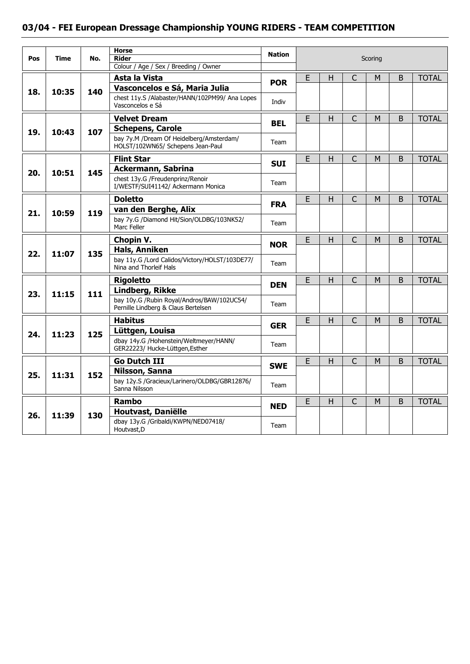| Pos | <b>Time</b> | No. | <b>Horse</b><br><b>Rider</b><br>Colour / Age / Sex / Breeding / Owner             | <b>Nation</b> |   |   |              | Scoring |   |              |
|-----|-------------|-----|-----------------------------------------------------------------------------------|---------------|---|---|--------------|---------|---|--------------|
|     |             |     | Asta la Vista                                                                     |               | E | H | $\mathsf{C}$ | M       | B | <b>TOTAL</b> |
|     |             |     | Vasconcelos e Sá, Maria Julia                                                     | <b>POR</b>    |   |   |              |         |   |              |
| 18. | 10:35       | 140 | chest 11y.S /Alabaster/HANN/102PM99/ Ana Lopes<br>Vasconcelos e Sá                | Indiv         |   |   |              |         |   |              |
|     |             |     | <b>Velvet Dream</b>                                                               | <b>BEL</b>    | E | H | $\mathsf{C}$ | M       | B | <b>TOTAL</b> |
| 19. | 10:43       | 107 | <b>Schepens, Carole</b>                                                           |               |   |   |              |         |   |              |
|     |             |     | bay 7y.M /Dream Of Heidelberg/Amsterdam/<br>HOLST/102WN65/ Schepens Jean-Paul     | Team          |   |   |              |         |   |              |
|     |             |     | <b>Flint Star</b>                                                                 | <b>SUI</b>    | E | н | $\mathsf{C}$ | M       | B | <b>TOTAL</b> |
| 20. | 10:51       | 145 | <b>Ackermann, Sabrina</b>                                                         |               |   |   |              |         |   |              |
|     |             |     | chest 13y.G /Freudenprinz/Renoir<br>I/WESTF/SUI41142/ Ackermann Monica            | Team          |   |   |              |         |   |              |
|     |             |     | <b>Doletto</b>                                                                    | <b>FRA</b>    | E | H | $\mathsf{C}$ | M       | B | <b>TOTAL</b> |
| 21. | 10:59       | 119 | van den Berghe, Alix                                                              |               |   |   |              |         |   |              |
|     |             |     | bay 7y.G /Diamond Hit/Sion/OLDBG/103NK52/<br>Marc Feller                          | Team          |   |   |              |         |   |              |
|     |             |     | Chopin V.                                                                         | <b>NOR</b>    | E | Н | $\mathsf C$  | М       | B | <b>TOTAL</b> |
| 22. | 11:07       | 135 | Hals, Anniken                                                                     |               |   |   |              |         |   |              |
|     |             |     | bay 11y.G /Lord Calidos/Victory/HOLST/103DE77/<br>Nina and Thorleif Hals          | Team          |   |   |              |         |   |              |
|     |             |     | <b>Rigoletto</b>                                                                  | DEN           | E | Η | $\mathsf{C}$ | M       | B | <b>TOTAL</b> |
| 23. | 11:15       | 111 | Lindberg, Rikke                                                                   |               |   |   |              |         |   |              |
|     |             |     | bay 10y.G /Rubin Royal/Andros/BAW/102UC54/<br>Pernille Lindberg & Claus Bertelsen | Team          |   |   |              |         |   |              |
|     |             |     | <b>Habitus</b>                                                                    | <b>GER</b>    | E | н | $\mathsf{C}$ | M       | B | <b>TOTAL</b> |
| 24. | 11:23       | 125 | Lüttgen, Louisa                                                                   |               |   |   |              |         |   |              |
|     |             |     | dbay 14y.G /Hohenstein/Weltmeyer/HANN/<br>GER22223/ Hucke-Lüttgen, Esther         | Team          |   |   |              |         |   |              |
|     |             |     | <b>Go Dutch III</b>                                                               | <b>SWE</b>    | E | H | $\mathsf{C}$ | M       | B | <b>TOTAL</b> |
| 25. | 11:31       | 152 | Nilsson, Sanna                                                                    |               |   |   |              |         |   |              |
|     |             |     | bay 12y.S /Gracieux/Larinero/OLDBG/GBR12876/<br>Sanna Nilsson                     | Team          |   |   |              |         |   |              |
|     |             |     | <b>Rambo</b>                                                                      | <b>NED</b>    | E | Η | $\mathsf{C}$ | M       | B | <b>TOTAL</b> |
| 26. | 11:39       | 130 | Houtvast, Daniëlle                                                                |               |   |   |              |         |   |              |
|     |             |     | dbay 13y.G /Gribaldi/KWPN/NED07418/<br>Houtvast.D                                 | Team          |   |   |              |         |   |              |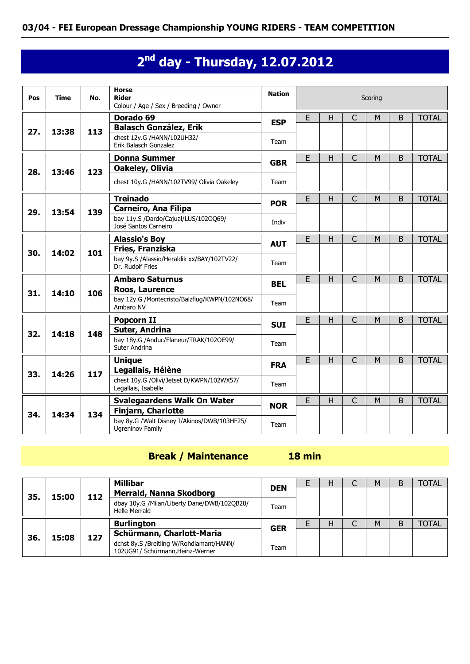# **2 nd day - Thursday, 12.07.2012**

| Pos | Time  | No. | <b>Horse</b><br><b>Rider</b><br>Colour / Age / Sex / Breeding / Owner  | <b>Nation</b> |    |   |                | Scoring |   |              |
|-----|-------|-----|------------------------------------------------------------------------|---------------|----|---|----------------|---------|---|--------------|
|     |       |     | Dorado 69                                                              | <b>ESP</b>    | E  | H | C              | М       | B | <b>TOTAL</b> |
| 27. | 13:38 | 113 | <b>Balasch González, Erik</b>                                          |               |    |   |                |         |   |              |
|     |       |     | chest 12y.G /HANN/102UH32/<br>Erik Balasch Gonzalez                    | Team          |    |   |                |         |   |              |
|     |       |     | <b>Donna Summer</b>                                                    | <b>GBR</b>    | E  | H | C              | M       | B | <b>TOTAL</b> |
| 28. | 13:46 | 123 | Oakeley, Olivia                                                        |               |    |   |                |         |   |              |
|     |       |     | chest 10y.G /HANN/102TV99/ Olivia Oakeley                              | Team          |    |   |                |         |   |              |
|     |       |     | <b>Treinado</b>                                                        | <b>POR</b>    | E  | H | $\overline{C}$ | M       | B | <b>TOTAL</b> |
| 29. | 13:54 | 139 | <b>Carneiro, Ana Filipa</b>                                            |               |    |   |                |         |   |              |
|     |       |     | bay 11y.S /Dardo/Cajual/LUS/102OQ69/<br>José Santos Carneiro           | Indiv         |    |   |                |         |   |              |
|     |       |     | <b>Alassio's Boy</b>                                                   | <b>AUT</b>    | E. | H | $\overline{C}$ | M       | B | <b>TOTAL</b> |
| 30. | 14:02 | 101 | Fries, Franziska                                                       |               |    |   |                |         |   |              |
|     |       |     | bay 9y.S /Alassio/Heraldik xx/BAY/102TV22/<br>Dr. Rudolf Fries         | Team          |    |   |                |         |   |              |
|     |       |     | <b>Ambaro Saturnus</b>                                                 | <b>BEL</b>    | E  | H | $\overline{C}$ | M       | B | <b>TOTAL</b> |
| 31. | 14:10 | 106 | Roos, Laurence                                                         |               |    |   |                |         |   |              |
|     |       |     | bay 12y.G /Montecristo/Balzflug/KWPN/102NO68/<br>Ambaro NV             | Team          |    |   |                |         |   |              |
|     |       |     | Popcorn II                                                             | <b>SUI</b>    | E  | H | C              | M       | B | <b>TOTAL</b> |
| 32. | 14:18 | 148 | Suter, Andrina                                                         |               |    |   |                |         |   |              |
|     |       |     | bay 18y.G /Anduc/Flaneur/TRAK/102OE99/<br>Suter Andrina                | Team          |    |   |                |         |   |              |
|     |       |     | <b>Unique</b>                                                          | <b>FRA</b>    | E  | H | $\overline{C}$ | M       | B | <b>TOTAL</b> |
| 33. | 14:26 | 117 | Legallais, Hélène                                                      |               |    |   |                |         |   |              |
|     |       |     | chest 10y.G /Olivi/Jetset D/KWPN/102WX57/<br>Legallais, Isabelle       | Team          |    |   |                |         |   |              |
|     |       |     | <b>Svalegaardens Walk On Water</b>                                     |               | E  | H | $\overline{C}$ | M       | B | <b>TOTAL</b> |
| 34. | 14:34 | 134 | Finjarn, Charlotte                                                     | <b>NOR</b>    |    |   |                |         |   |              |
|     |       |     | bay 8y.G /Walt Disney I/Akinos/DWB/103HF25/<br><b>Ugreninov Family</b> | Team          |    |   |                |         |   |              |

## **Break / Maintenance 18 min**

|     |       |     | Millibar                                                     | <b>DEN</b> | н | M | B | <b>TOTAL</b> |
|-----|-------|-----|--------------------------------------------------------------|------------|---|---|---|--------------|
| 35. | 15:00 | 112 | <b>Merrald, Nanna Skodborg</b>                               |            |   |   |   |              |
|     |       |     | dbay 10y.G /Milan/Liberty Dane/DWB/102QB20/<br>Helle Merrald | Team       |   |   |   |              |
|     |       |     |                                                              |            |   |   |   |              |
|     |       |     | <b>Burlington</b>                                            |            |   | M | B | <b>TOTAL</b> |
| 36. | 15:08 | 127 | Schürmann, Charlott-Maria                                    | <b>GER</b> |   |   |   |              |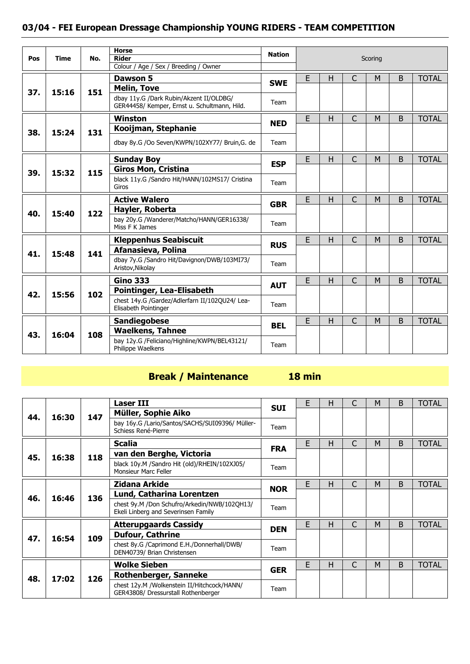| Pos | <b>Time</b> | No. | <b>Horse</b><br><b>Rider</b><br>Colour / Age / Sex / Breeding / Owner                   | <b>Nation</b> |   |    |              | Scoring |              |              |
|-----|-------------|-----|-----------------------------------------------------------------------------------------|---------------|---|----|--------------|---------|--------------|--------------|
|     |             |     | Dawson 5                                                                                |               | E | н  | $\mathsf{C}$ | M       | B            | <b>TOTAL</b> |
|     |             |     | <b>Melin, Tove</b>                                                                      | <b>SWE</b>    |   |    |              |         |              |              |
| 37. | 15:16       | 151 | dbay 11y.G /Dark Rubin/Akzent II/OLDBG/<br>GER44458/ Kemper, Ernst u. Schultmann, Hild. | Team          |   |    |              |         |              |              |
|     |             |     | Winston                                                                                 |               | E | н  | $\mathsf{C}$ | M       | B            | <b>TOTAL</b> |
| 38. | 15:24       | 131 | Kooijman, Stephanie                                                                     | <b>NED</b>    |   |    |              |         |              |              |
|     |             |     | dbay 8y.G /Oo Seven/KWPN/102XY77/ Bruin,G. de                                           | Team          |   |    |              |         |              |              |
|     |             |     | <b>Sunday Boy</b>                                                                       | <b>ESP</b>    | E | H. | $\mathsf{C}$ | M       | B            | <b>TOTAL</b> |
| 39. | 15:32       | 115 | <b>Giros Mon, Cristina</b>                                                              |               |   |    |              |         |              |              |
|     |             |     | black 11y.G /Sandro Hit/HANN/102MS17/ Cristina<br>Giros                                 | Team          |   |    |              |         |              |              |
|     |             |     | <b>Active Walero</b>                                                                    | <b>GBR</b>    | E | н  | $\mathsf{C}$ | M       | B            | <b>TOTAL</b> |
| 40. | 15:40       | 122 | Hayler, Roberta                                                                         |               |   |    |              |         |              |              |
|     |             |     | bay 20y.G /Wanderer/Matcho/HANN/GER16338/<br>Miss F K James                             | Team          |   |    |              |         |              |              |
|     |             |     | <b>Kleppenhus Seabiscuit</b>                                                            | <b>RUS</b>    | E | н  | $\mathsf{C}$ | M       | B            | <b>TOTAL</b> |
| 41. | 15:48       | 141 | Afanasieva, Polina                                                                      |               |   |    |              |         |              |              |
|     |             |     | dbay 7y.G /Sandro Hit/Davignon/DWB/103MI73/<br>Aristov, Nikolay                         | Team          |   |    |              |         |              |              |
|     |             |     | <b>Gino 333</b>                                                                         | <b>AUT</b>    | E | H  | $\mathsf{C}$ | M       | <sub>B</sub> | <b>TOTAL</b> |
| 42. | 15:56       | 102 | <b>Pointinger, Lea-Elisabeth</b>                                                        |               |   |    |              |         |              |              |
|     |             |     | chest 14y.G /Gardez/Adlerfarn II/102QU24/ Lea-<br>Elisabeth Pointinger                  | Team          |   |    |              |         |              |              |
|     |             |     | <b>Sandiegobese</b>                                                                     | <b>BEL</b>    | E | H. | $\mathsf{C}$ | M       | B            | <b>TOTAL</b> |
| 43. | 16:04       | 108 | <b>Waelkens, Tahnee</b>                                                                 |               |   |    |              |         |              |              |
|     |             |     | bay 12y.G /Feliciano/Highline/KWPN/BEL43121/<br>Philippe Waelkens                       | Team          |   |    |              |         |              |              |

# **Break / Maintenance 18 min**

|     |       |     | <b>Laser III</b>                                                                    | <b>SUI</b> | E | н |   | M | B | <b>TOTAL</b> |
|-----|-------|-----|-------------------------------------------------------------------------------------|------------|---|---|---|---|---|--------------|
| 44. | 16:30 | 147 | Müller, Sophie Aiko                                                                 |            |   |   |   |   |   |              |
|     |       |     | bay 16y.G /Lario/Santos/SACHS/SUI09396/ Müller-<br>Schiess René-Pierre              | Team       |   |   |   |   |   |              |
|     |       |     | <b>Scalia</b>                                                                       | <b>FRA</b> | E | н | C | M | B | <b>TOTAL</b> |
| 45. | 16:38 | 118 | van den Berghe, Victoria                                                            |            |   |   |   |   |   |              |
|     |       |     | black 10y.M /Sandro Hit (old)/RHEIN/102XJ05/<br><b>Monsieur Marc Feller</b>         | Team       |   |   |   |   |   |              |
|     |       |     | Zidana Arkide                                                                       |            | E | н | C | M | B | <b>TOTAL</b> |
| 46. | 16:46 | 136 | Lund, Catharina Lorentzen                                                           | <b>NOR</b> |   |   |   |   |   |              |
|     |       |     | chest 9y.M /Don Schufro/Arkedin/NWB/102QH13/<br>Ekeli Linberg and Severinsen Family | Team       |   |   |   |   |   |              |
|     |       |     | <b>Atterupgaards Cassidy</b>                                                        | <b>DEN</b> | E | н | C | M | B | <b>TOTAL</b> |
| 47. |       |     | <b>Dufour, Cathrine</b>                                                             |            |   |   |   |   |   |              |
|     | 16:54 | 109 | chest 8y.G /Caprimond E.H./Donnerhall/DWB/<br>DEN40739/ Brian Christensen           | Team       |   |   |   |   |   |              |
|     |       |     | <b>Wolke Sieben</b>                                                                 |            | E | н | C | M | B | TOTAL        |
|     |       |     | <b>Rothenberger, Sanneke</b>                                                        | <b>GER</b> |   |   |   |   |   |              |
| 48. | 17:02 | 126 | chest 12y.M /Wolkenstein II/Hitchcock/HANN/<br>GER43808/ Dressurstall Rothenberger  | Team       |   |   |   |   |   |              |